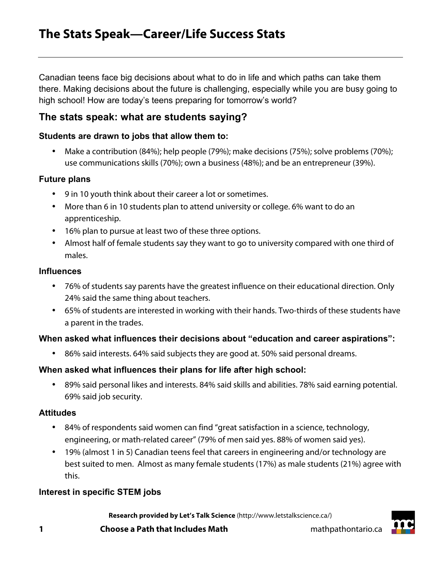Canadian teens face big decisions about what to do in life and which paths can take them there. Making decisions about the future is challenging, especially while you are busy going to high school! How are today's teens preparing for tomorrow's world?

# **The stats speak: what are students saying?**

#### **Students are drawn to jobs that allow them to:**

• Make a contribution (84%); help people (79%); make decisions (75%); solve problems (70%); use communications skills (70%); own a business (48%); and be an entrepreneur (39%).

#### **Future plans**

- 9 in 10 youth think about their career a lot or sometimes.
- More than 6 in 10 students plan to attend university or college. 6% want to do an apprenticeship.
- 16% plan to pursue at least two of these three options.
- Almost half of female students say they want to go to university compared with one third of males.

#### **Influences**

- 76% of students say parents have the greatest influence on their educational direction. Only 24% said the same thing about teachers.
- 65% of students are interested in working with their hands. Two-thirds of these students have a parent in the trades.

## **When asked what influences their decisions about "education and career aspirations":**

• 86% said interests. 64% said subjects they are good at. 50% said personal dreams.

#### **When asked what influences their plans for life after high school:**

• 89% said personal likes and interests. 84% said skills and abilities. 78% said earning potential. 69% said job security.

#### **Attitudes**

- 84% of respondents said women can find "great satisfaction in a science, technology, engineering, or math-related career" (79% of men said yes. 88% of women said yes).
- 19% (almost 1 in 5) Canadian teens feel that careers in engineering and/or technology are best suited to men. Almost as many female students (17%) as male students (21%) agree with this.

## **Interest in specific STEM jobs**

**Research provided by Let's Talk Science** (http://www.letstalkscience.ca/)

**1 Choose a Path that Includes Math noise 1 mathpathontario.ca** 

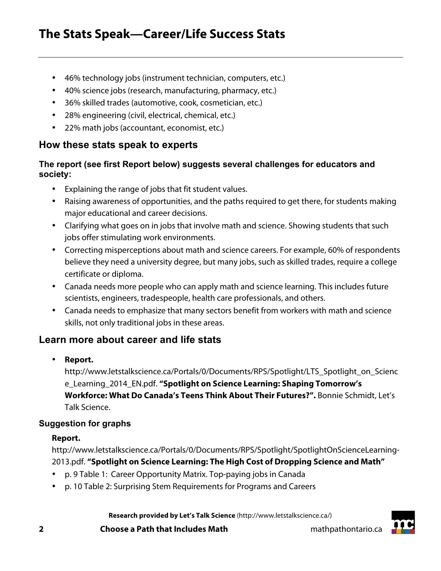- 46% technology jobs (instrument technician, computers, etc.)
- 40% science jobs (research, manufacturing, pharmacy, etc.)
- 36% skilled trades (automotive, cook, cosmetician, etc.)
- 28% engineering (civil, electrical, chemical, etc.)
- 22% math jobs (accountant, economist, etc.)

## **How these stats speak to experts**

## **The report (see first Report below) suggests several challenges for educators and society:**

- Explaining the range of jobs that fit student values.
- Raising awareness of opportunities, and the paths required to get there, for students making major educational and career decisions.
- Clarifying what goes on in jobs that involve math and science. Showing students that such jobs offer stimulating work environments.
- Correcting misperceptions about math and science careers. For example, 60% of respondents believe they need a university degree, but many jobs, such as skilled trades, require a college certificate or diploma.
- Canada needs more people who can apply math and science learning. This includes future scientists, engineers, tradespeople, health care professionals, and others.
- Canada needs to emphasize that many sectors benefit from workers with math and science skills, not only traditional jobs in these areas.

# **Learn more about career and life stats**

• **Report.**

http://www.letstalkscience.ca/Portals/0/Documents/RPS/Spotlight/LTS\_Spotlight\_on\_Scienc e\_Learning\_2014\_EN.pdf. **"Spotlight on Science Learning: Shaping Tomorrow's Workforce: What Do Canada's Teens Think About Their Futures?".** Bonnie Schmidt, Let's Talk Science.

## **Suggestion for graphs**

## **Report.**

http://www.letstalkscience.ca/Portals/0/Documents/RPS/Spotlight/SpotlightOnScienceLearning-2013.pdf. **"Spotlight on Science Learning: The High Cost of Dropping Science and Math"**

- p. 9 Table 1: Career Opportunity Matrix. Top-paying jobs in Canada
- p. 10 Table 2: Surprising Stem Requirements for Programs and Careers

**Research provided by Let's Talk Science** (http://www.letstalkscience.ca/)